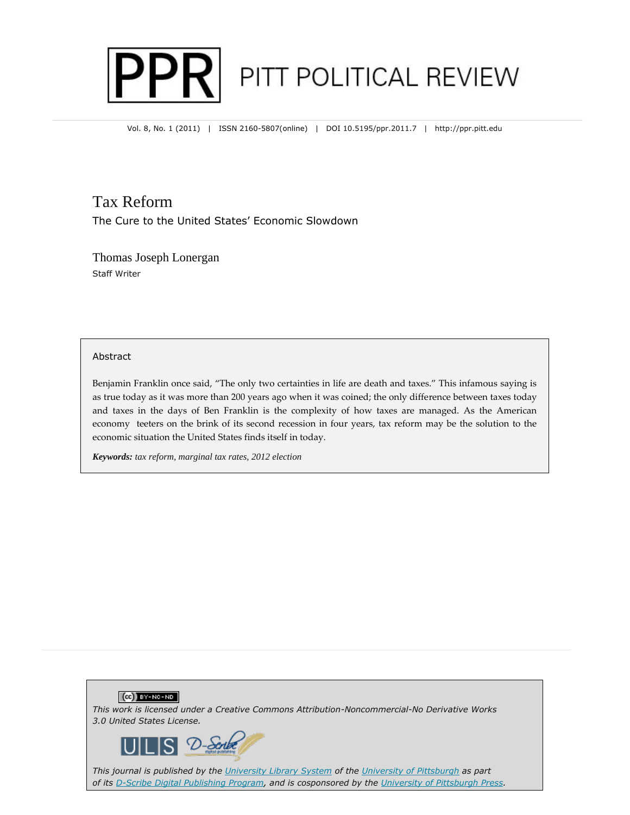

Vol. 8, No. 1 (2011) | ISSN 2160-5807(online) | DOI 10.5195/ppr.2011.7 | http://ppr.pitt.edu

# Tax Reform

The Cure to the United States' Economic Slowdown

Thomas Joseph Lonergan Staff Writer

### Abstract

Benjamin Franklin once said, "The only two certainties in life are death and taxes." This infamous saying is as true today as it was more than 200 years ago when it was coined; the only difference between taxes today and taxes in the days of Ben Franklin is the complexity of how taxes are managed. As the American economy teeters on the brink of its second recession in four years, tax reform may be the solution to the economic situation the United States finds itself in today.

*Keywords: tax reform, marginal tax rates, 2012 election*

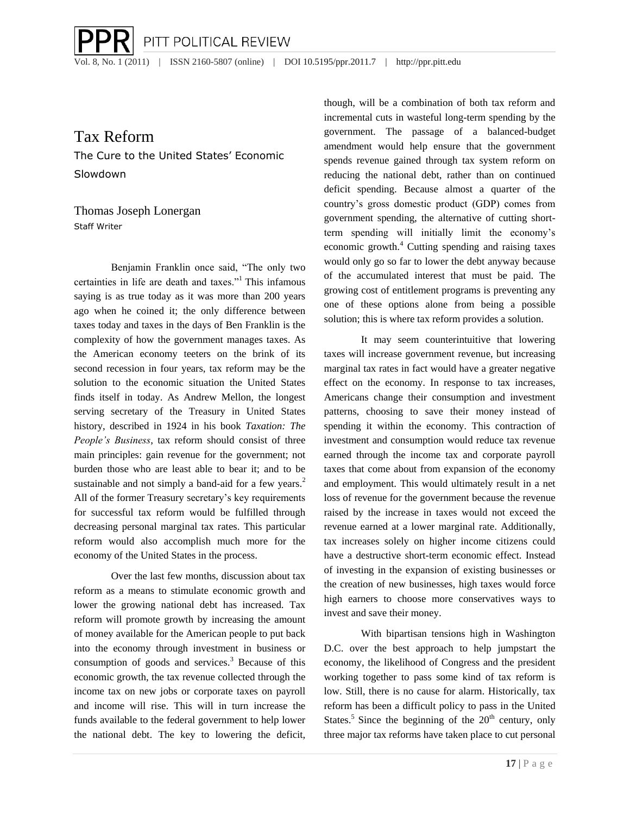Vol. 8, No. 1 (2011) | ISSN 2160-5807 (online) | DOI 10.5195/ppr.2011.7 | http://ppr.pitt.edu

PITT POLITICAL REVIEW

## Tax Reform

The Cure to the United States' Economic Slowdown

Thomas Joseph Lonergan Staff Writer

Benjamin Franklin once said, "The only two certainties in life are death and taxes."<sup>1</sup> This infamous saying is as true today as it was more than 200 years ago when he coined it; the only difference between taxes today and taxes in the days of Ben Franklin is the complexity of how the government manages taxes. As the American economy teeters on the brink of its second recession in four years, tax reform may be the solution to the economic situation the United States finds itself in today. As Andrew Mellon, the longest serving secretary of the Treasury in United States history, described in 1924 in his book *Taxation: The People's Business*, tax reform should consist of three main principles: gain revenue for the government; not burden those who are least able to bear it; and to be sustainable and not simply a band-aid for a few years.<sup>2</sup> All of the former Treasury secretary's key requirements for successful tax reform would be fulfilled through decreasing personal marginal tax rates. This particular reform would also accomplish much more for the economy of the United States in the process.

Over the last few months, discussion about tax reform as a means to stimulate economic growth and lower the growing national debt has increased. Tax reform will promote growth by increasing the amount of money available for the American people to put back into the economy through investment in business or consumption of goods and services.<sup>3</sup> Because of this economic growth, the tax revenue collected through the income tax on new jobs or corporate taxes on payroll and income will rise. This will in turn increase the funds available to the federal government to help lower the national debt. The key to lowering the deficit,

though, will be a combination of both tax reform and incremental cuts in wasteful long-term spending by the government. The passage of a balanced-budget amendment would help ensure that the government spends revenue gained through tax system reform on reducing the national debt, rather than on continued deficit spending. Because almost a quarter of the country's gross domestic product (GDP) comes from government spending, the alternative of cutting shortterm spending will initially limit the economy's economic growth.<sup>4</sup> Cutting spending and raising taxes would only go so far to lower the debt anyway because of the accumulated interest that must be paid. The growing cost of entitlement programs is preventing any one of these options alone from being a possible solution; this is where tax reform provides a solution.

It may seem counterintuitive that lowering taxes will increase government revenue, but increasing marginal tax rates in fact would have a greater negative effect on the economy. In response to tax increases, Americans change their consumption and investment patterns, choosing to save their money instead of spending it within the economy. This contraction of investment and consumption would reduce tax revenue earned through the income tax and corporate payroll taxes that come about from expansion of the economy and employment. This would ultimately result in a net loss of revenue for the government because the revenue raised by the increase in taxes would not exceed the revenue earned at a lower marginal rate. Additionally, tax increases solely on higher income citizens could have a destructive short-term economic effect. Instead of investing in the expansion of existing businesses or the creation of new businesses, high taxes would force high earners to choose more conservatives ways to invest and save their money.

With bipartisan tensions high in Washington D.C. over the best approach to help jumpstart the economy, the likelihood of Congress and the president working together to pass some kind of tax reform is low. Still, there is no cause for alarm. Historically, tax reform has been a difficult policy to pass in the United States.<sup>5</sup> Since the beginning of the  $20<sup>th</sup>$  century, only three major tax reforms have taken place to cut personal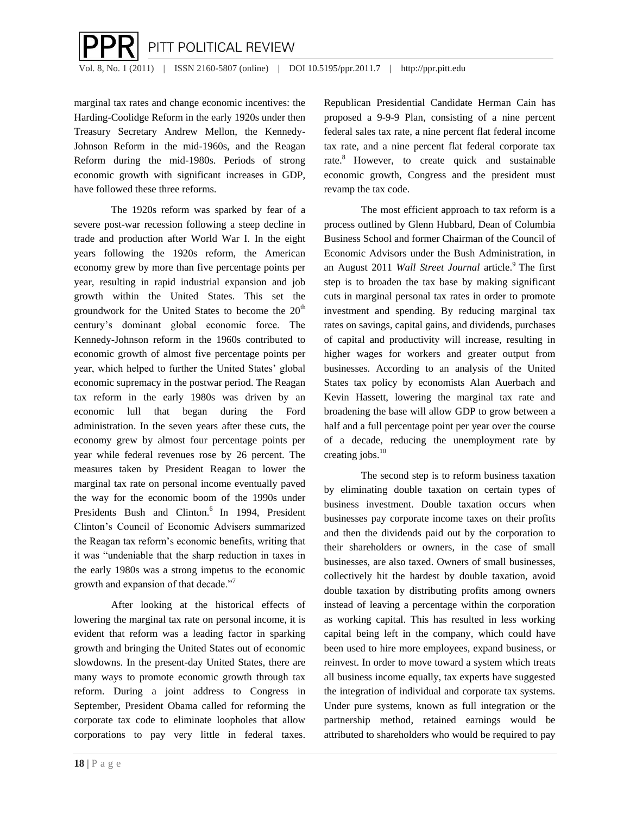

marginal tax rates and change economic incentives: the Harding-Coolidge Reform in the early 1920s under then Treasury Secretary Andrew Mellon, the Kennedy-Johnson Reform in the mid-1960s, and the Reagan Reform during the mid-1980s. Periods of strong economic growth with significant increases in GDP, have followed these three reforms.

The 1920s reform was sparked by fear of a severe post-war recession following a steep decline in trade and production after World War I. In the eight years following the 1920s reform, the American economy grew by more than five percentage points per year, resulting in rapid industrial expansion and job growth within the United States. This set the groundwork for the United States to become the  $20<sup>th</sup>$ century's dominant global economic force. The Kennedy-Johnson reform in the 1960s contributed to economic growth of almost five percentage points per year, which helped to further the United States' global economic supremacy in the postwar period. The Reagan tax reform in the early 1980s was driven by an economic lull that began during the Ford administration. In the seven years after these cuts, the economy grew by almost four percentage points per year while federal revenues rose by 26 percent. The measures taken by President Reagan to lower the marginal tax rate on personal income eventually paved the way for the economic boom of the 1990s under Presidents Bush and Clinton.<sup>6</sup> In 1994, President Clinton's Council of Economic Advisers summarized the Reagan tax reform's economic benefits, writing that it was "undeniable that the sharp reduction in taxes in the early 1980s was a strong impetus to the economic growth and expansion of that decade."<sup>7</sup>

After looking at the historical effects of lowering the marginal tax rate on personal income, it is evident that reform was a leading factor in sparking growth and bringing the United States out of economic slowdowns. In the present-day United States, there are many ways to promote economic growth through tax reform. During a joint address to Congress in September, President Obama called for reforming the corporate tax code to eliminate loopholes that allow corporations to pay very little in federal taxes.

Republican Presidential Candidate Herman Cain has proposed a 9-9-9 Plan, consisting of a nine percent federal sales tax rate, a nine percent flat federal income tax rate, and a nine percent flat federal corporate tax rate.<sup>8</sup> However, to create quick and sustainable economic growth, Congress and the president must revamp the tax code.

The most efficient approach to tax reform is a process outlined by Glenn Hubbard, Dean of Columbia Business School and former Chairman of the Council of Economic Advisors under the Bush Administration, in an August 2011 *Wall Street Journal* article.<sup>9</sup> The first step is to broaden the tax base by making significant cuts in marginal personal tax rates in order to promote investment and spending. By reducing marginal tax rates on savings, capital gains, and dividends, purchases of capital and productivity will increase, resulting in higher wages for workers and greater output from businesses. According to an analysis of the United States tax policy by economists Alan Auerbach and Kevin Hassett, lowering the marginal tax rate and broadening the base will allow GDP to grow between a half and a full percentage point per year over the course of a decade, reducing the unemployment rate by creating jobs. $10$ 

The second step is to reform business taxation by eliminating double taxation on certain types of business investment. Double taxation occurs when businesses pay corporate income taxes on their profits and then the dividends paid out by the corporation to their shareholders or owners, in the case of small businesses, are also taxed. Owners of small businesses, collectively hit the hardest by double taxation, avoid double taxation by distributing profits among owners instead of leaving a percentage within the corporation as working capital. This has resulted in less working capital being left in the company, which could have been used to hire more employees, expand business, or reinvest. In order to move toward a system which treats all business income equally, tax experts have suggested the integration of individual and corporate tax systems. Under pure systems, known as full integration or the partnership method, retained earnings would be attributed to shareholders who would be required to pay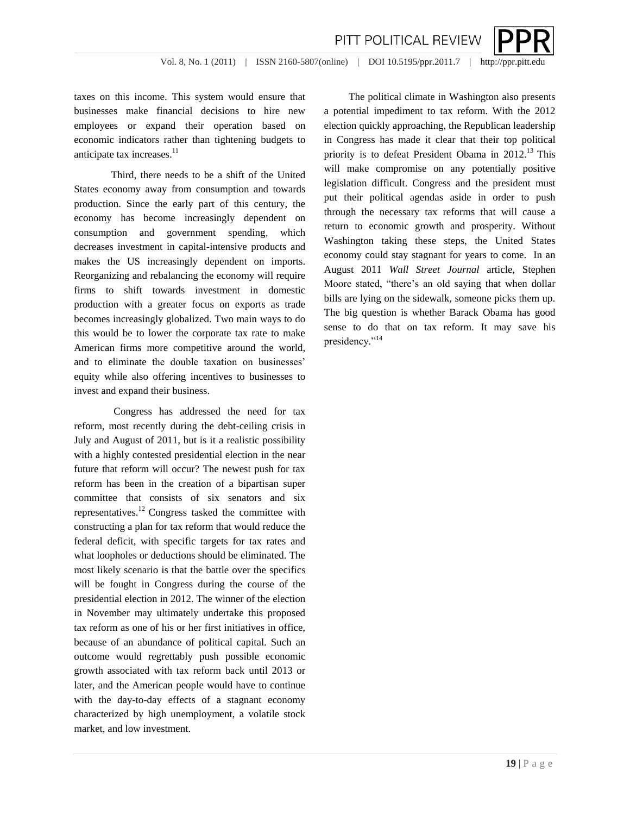

Vol. 8, No. 1 (2011) | ISSN 2160-5807(online) | DOI 10.5195/ppr.2011.7 | http://ppr.pitt.edu

PITT POLITICAL REVIEW

taxes on this income. This system would ensure that businesses make financial decisions to hire new employees or expand their operation based on economic indicators rather than tightening budgets to anticipate tax increases.<sup>11</sup>

Third, there needs to be a shift of the United States economy away from consumption and towards production. Since the early part of this century, the economy has become increasingly dependent on consumption and government spending, which decreases investment in capital-intensive products and makes the US increasingly dependent on imports. Reorganizing and rebalancing the economy will require firms to shift towards investment in domestic production with a greater focus on exports as trade becomes increasingly globalized. Two main ways to do this would be to lower the corporate tax rate to make American firms more competitive around the world, and to eliminate the double taxation on businesses' equity while also offering incentives to businesses to invest and expand their business.

Congress has addressed the need for tax reform, most recently during the debt-ceiling crisis in July and August of 2011, but is it a realistic possibility with a highly contested presidential election in the near future that reform will occur? The newest push for tax reform has been in the creation of a bipartisan super committee that consists of six senators and six representatives.<sup>12</sup> Congress tasked the committee with constructing a plan for tax reform that would reduce the federal deficit, with specific targets for tax rates and what loopholes or deductions should be eliminated. The most likely scenario is that the battle over the specifics will be fought in Congress during the course of the presidential election in 2012. The winner of the election in November may ultimately undertake this proposed tax reform as one of his or her first initiatives in office, because of an abundance of political capital. Such an outcome would regrettably push possible economic growth associated with tax reform back until 2013 or later, and the American people would have to continue with the day-to-day effects of a stagnant economy characterized by high unemployment, a volatile stock market, and low investment.

The political climate in Washington also presents a potential impediment to tax reform. With the 2012 election quickly approaching, the Republican leadership in Congress has made it clear that their top political priority is to defeat President Obama in  $2012$ <sup>13</sup> This will make compromise on any potentially positive legislation difficult. Congress and the president must put their political agendas aside in order to push through the necessary tax reforms that will cause a return to economic growth and prosperity. Without Washington taking these steps, the United States economy could stay stagnant for years to come. In an August 2011 *Wall Street Journal* article, Stephen Moore stated, "there's an old saying that when dollar bills are lying on the sidewalk, someone picks them up. The big question is whether Barack Obama has good sense to do that on tax reform. It may save his presidency."<sup>14</sup>